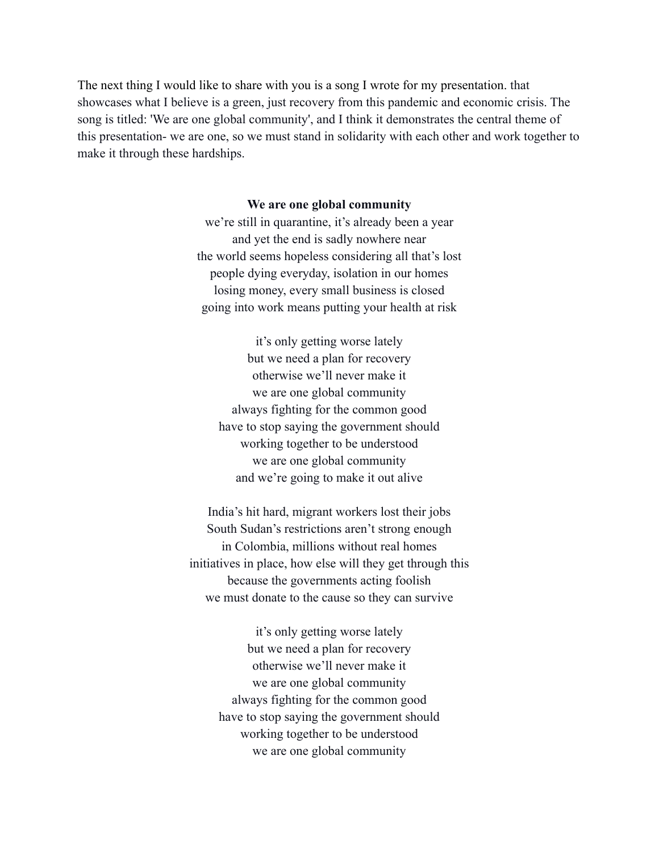The next thing I would like to share with you is a song I wrote for my presentation. that showcases what I believe is a green, just recovery from this pandemic and economic crisis. The song is titled: 'We are one global community', and I think it demonstrates the central theme of this presentation- we are one, so we must stand in solidarity with each other and work together to make it through these hardships.

## **We are one global community**

we're still in quarantine, it's already been a year and yet the end is sadly nowhere near the world seems hopeless considering all that's lost people dying everyday, isolation in our homes losing money, every small business is closed going into work means putting your health at risk

it's only getting worse lately but we need a plan for recovery otherwise we'll never make it we are one global community always fighting for the common good have to stop saying the government should working together to be understood we are one global community and we're going to make it out alive

India's hit hard, migrant workers lost their jobs South Sudan's restrictions aren't strong enough in Colombia, millions without real homes initiatives in place, how else will they get through this because the governments acting foolish we must donate to the cause so they can survive

> it's only getting worse lately but we need a plan for recovery otherwise we'll never make it we are one global community always fighting for the common good have to stop saying the government should working together to be understood we are one global community